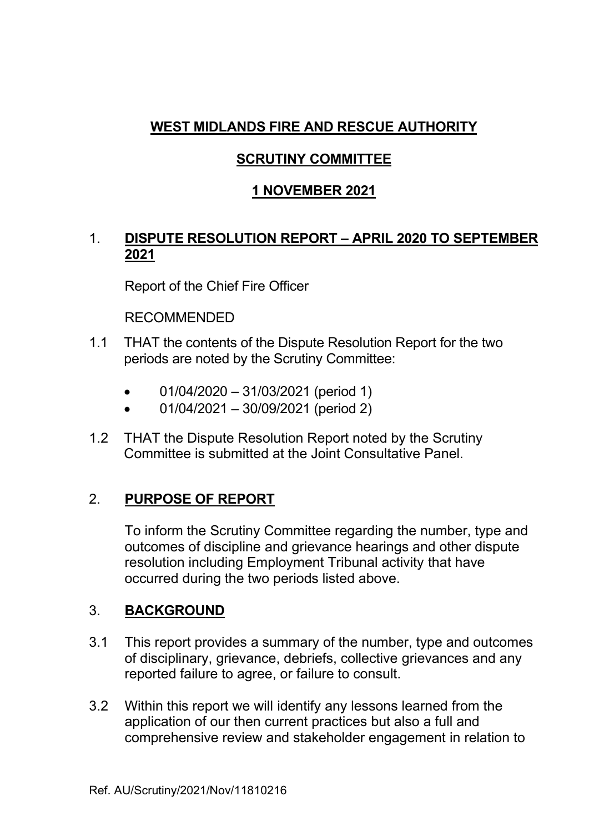# **WEST MIDLANDS FIRE AND RESCUE AUTHORITY**

### **SCRUTINY COMMITTEE**

# **1 NOVEMBER 2021**

### 1. **DISPUTE RESOLUTION REPORT – APRIL 2020 TO SEPTEMBER 2021**

Report of the Chief Fire Officer

RECOMMENDED

- 1.1 THAT the contents of the Dispute Resolution Report for the two periods are noted by the Scrutiny Committee:
	- 01/04/2020 31/03/2021 (period 1)
	- 01/04/2021 30/09/2021 (period 2)
- 1.2 THAT the Dispute Resolution Report noted by the Scrutiny Committee is submitted at the Joint Consultative Panel.

# 2. **PURPOSE OF REPORT**

 To inform the Scrutiny Committee regarding the number, type and outcomes of discipline and grievance hearings and other dispute resolution including Employment Tribunal activity that have occurred during the two periods listed above.

# 3. **BACKGROUND**

- 3.1 This report provides a summary of the number, type and outcomes of disciplinary, grievance, debriefs, collective grievances and any reported failure to agree, or failure to consult.
- 3.2 Within this report we will identify any lessons learned from the application of our then current practices but also a full and comprehensive review and stakeholder engagement in relation to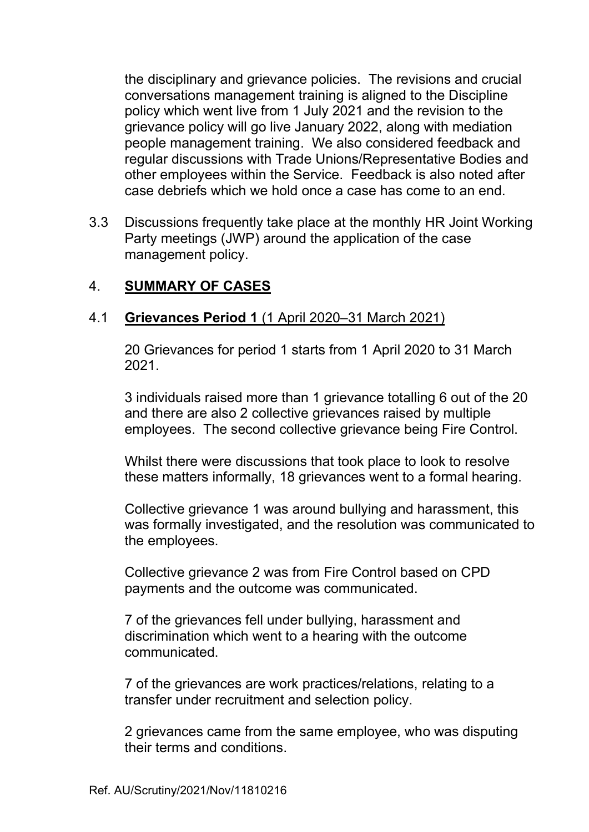the disciplinary and grievance policies. The revisions and crucial conversations management training is aligned to the Discipline policy which went live from 1 July 2021 and the revision to the grievance policy will go live January 2022, along with mediation people management training. We also considered feedback and regular discussions with Trade Unions/Representative Bodies and other employees within the Service. Feedback is also noted after case debriefs which we hold once a case has come to an end.

3.3 Discussions frequently take place at the monthly HR Joint Working Party meetings (JWP) around the application of the case management policy.

### 4. **SUMMARY OF CASES**

#### 4.1 **Grievances Period 1** (1 April 2020–31 March 2021)

20 Grievances for period 1 starts from 1 April 2020 to 31 March 2021.

 3 individuals raised more than 1 grievance totalling 6 out of the 20 and there are also 2 collective grievances raised by multiple employees. The second collective grievance being Fire Control.

 Whilst there were discussions that took place to look to resolve these matters informally, 18 grievances went to a formal hearing.

Collective grievance 1 was around bullying and harassment, this was formally investigated, and the resolution was communicated to the employees.

Collective grievance 2 was from Fire Control based on CPD payments and the outcome was communicated.

7 of the grievances fell under bullying, harassment and discrimination which went to a hearing with the outcome communicated.

7 of the grievances are work practices/relations, relating to a transfer under recruitment and selection policy.

2 grievances came from the same employee, who was disputing their terms and conditions.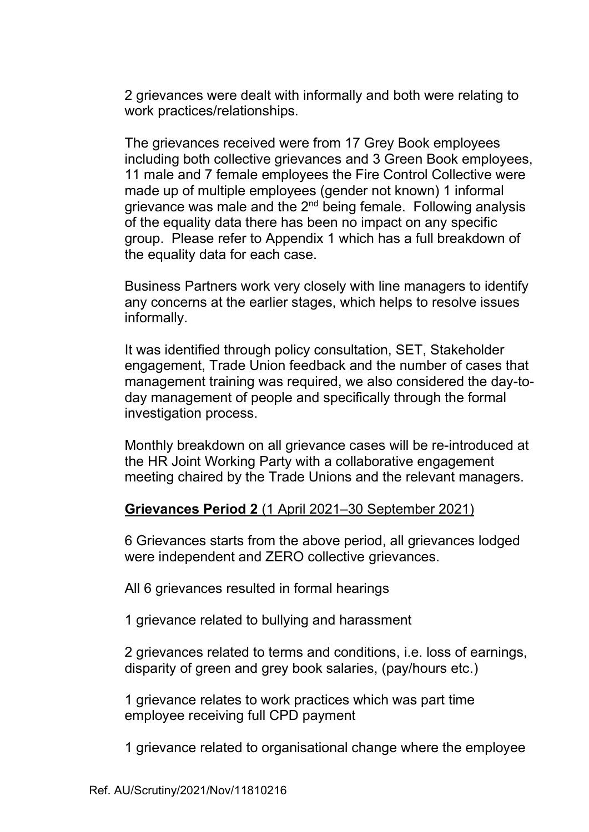2 grievances were dealt with informally and both were relating to work practices/relationships.

The grievances received were from 17 Grey Book employees including both collective grievances and 3 Green Book employees, 11 male and 7 female employees the Fire Control Collective were made up of multiple employees (gender not known) 1 informal grievance was male and the 2<sup>nd</sup> being female. Following analysis of the equality data there has been no impact on any specific group. Please refer to Appendix 1 which has a full breakdown of the equality data for each case.

 Business Partners work very closely with line managers to identify any concerns at the earlier stages, which helps to resolve issues informally.

 It was identified through policy consultation, SET, Stakeholder engagement, Trade Union feedback and the number of cases that management training was required, we also considered the day-today management of people and specifically through the formal investigation process.

 Monthly breakdown on all grievance cases will be re-introduced at the HR Joint Working Party with a collaborative engagement meeting chaired by the Trade Unions and the relevant managers.

### **Grievances Period 2** (1 April 2021–30 September 2021)

6 Grievances starts from the above period, all grievances lodged were independent and ZERO collective grievances.

All 6 grievances resulted in formal hearings

1 grievance related to bullying and harassment

2 grievances related to terms and conditions, i.e. loss of earnings, disparity of green and grey book salaries, (pay/hours etc.)

1 grievance relates to work practices which was part time employee receiving full CPD payment

1 grievance related to organisational change where the employee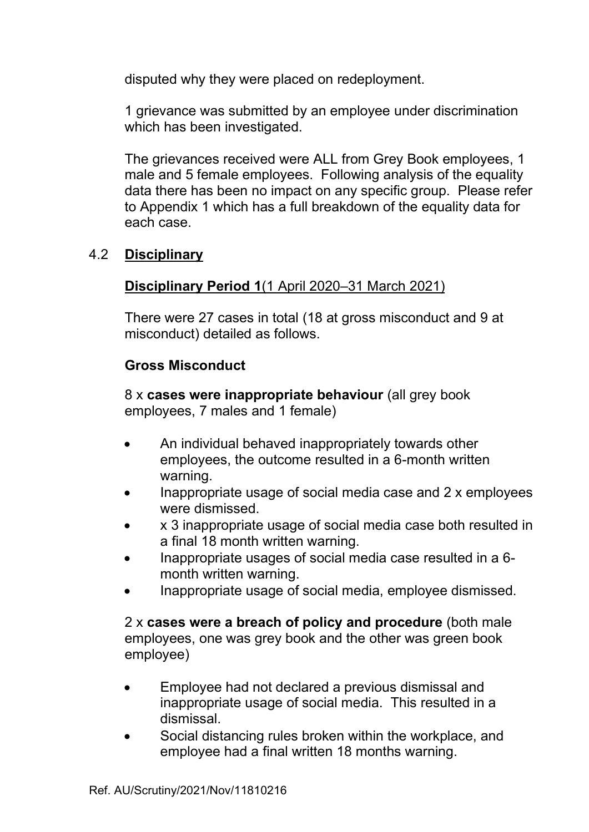disputed why they were placed on redeployment.

1 grievance was submitted by an employee under discrimination which has been investigated.

The grievances received were ALL from Grey Book employees, 1 male and 5 female employees. Following analysis of the equality data there has been no impact on any specific group. Please refer to Appendix 1 which has a full breakdown of the equality data for each case.

### 4.2 **Disciplinary**

### **Disciplinary Period 1**(1 April 2020–31 March 2021)

 There were 27 cases in total (18 at gross misconduct and 9 at misconduct) detailed as follows.

### **Gross Misconduct**

8 x **cases were inappropriate behaviour** (all grey book employees, 7 males and 1 female)

- An individual behaved inappropriately towards other employees, the outcome resulted in a 6-month written warning.
- Inappropriate usage of social media case and 2 x employees were dismissed.
- x 3 inappropriate usage of social media case both resulted in a final 18 month written warning.
- Inappropriate usages of social media case resulted in a 6 month written warning.
- Inappropriate usage of social media, employee dismissed.

2 x **cases were a breach of policy and procedure** (both male employees, one was grey book and the other was green book employee)

- Employee had not declared a previous dismissal and inappropriate usage of social media. This resulted in a dismissal.
- Social distancing rules broken within the workplace, and employee had a final written 18 months warning.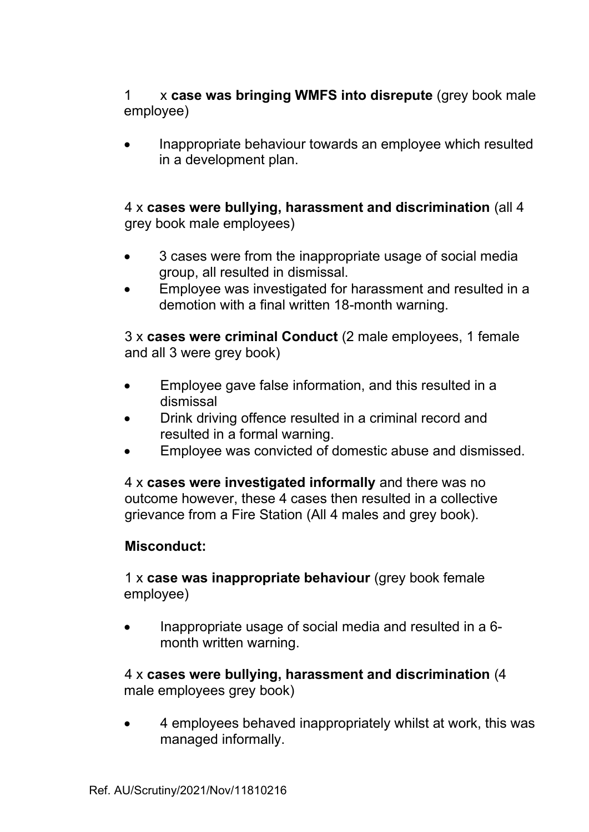1 x **case was bringing WMFS into disrepute** (grey book male employee)

• Inappropriate behaviour towards an employee which resulted in a development plan.

4 x **cases were bullying, harassment and discrimination** (all 4 grey book male employees)

- 3 cases were from the inappropriate usage of social media group, all resulted in dismissal.
- Employee was investigated for harassment and resulted in a demotion with a final written 18-month warning.

3 x **cases were criminal Conduct** (2 male employees, 1 female and all 3 were grey book)

- Employee gave false information, and this resulted in a dismissal
- Drink driving offence resulted in a criminal record and resulted in a formal warning.
- Employee was convicted of domestic abuse and dismissed.

 4 x **cases were investigated informally** and there was no outcome however, these 4 cases then resulted in a collective grievance from a Fire Station (All 4 males and grey book).

### **Misconduct:**

1 x **case was inappropriate behaviour** (grey book female employee)

• Inappropriate usage of social media and resulted in a 6 month written warning.

4 x **cases were bullying, harassment and discrimination** (4 male employees grey book)

• 4 employees behaved inappropriately whilst at work, this was managed informally.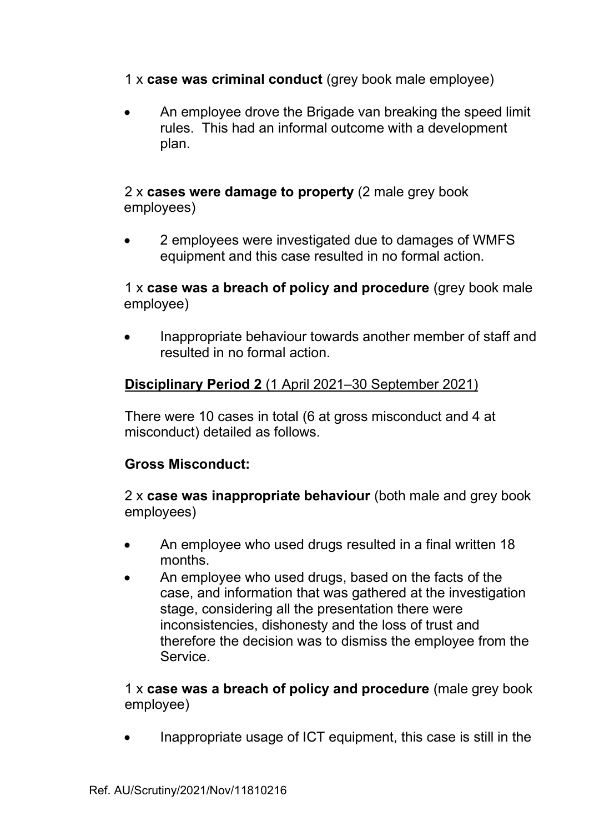1 x **case was criminal conduct** (grey book male employee)

• An employee drove the Brigade van breaking the speed limit rules. This had an informal outcome with a development plan.

### 2 x **cases were damage to property** (2 male grey book employees)

• 2 employees were investigated due to damages of WMFS equipment and this case resulted in no formal action.

### 1 x **case was a breach of policy and procedure** (grey book male employee)

• Inappropriate behaviour towards another member of staff and resulted in no formal action.

## **Disciplinary Period 2** (1 April 2021–30 September 2021)

 There were 10 cases in total (6 at gross misconduct and 4 at misconduct) detailed as follows.

### **Gross Misconduct:**

2 x **case was inappropriate behaviour** (both male and grey book employees)

- An employee who used drugs resulted in a final written 18 months.
- An employee who used drugs, based on the facts of the case, and information that was gathered at the investigation stage, considering all the presentation there were inconsistencies, dishonesty and the loss of trust and therefore the decision was to dismiss the employee from the Service.

1 x **case was a breach of policy and procedure** (male grey book employee)

• Inappropriate usage of ICT equipment, this case is still in the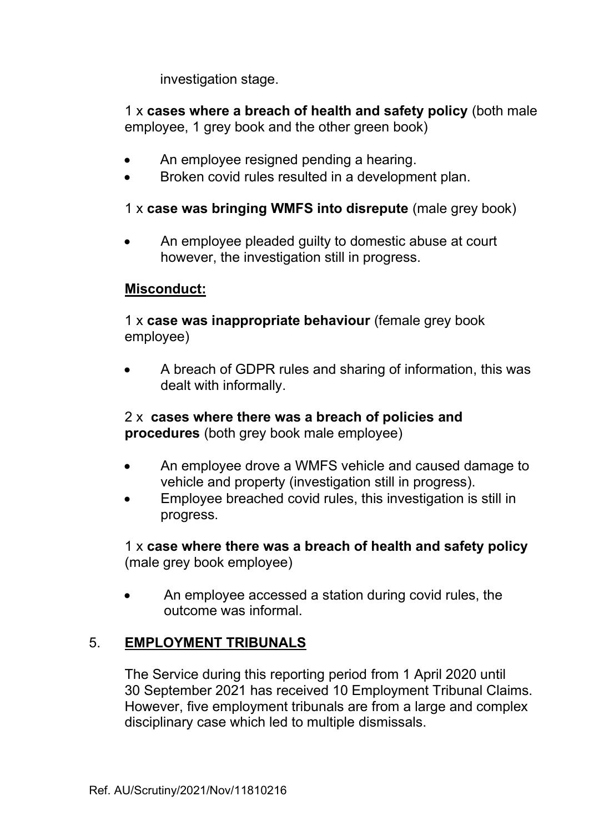investigation stage.

 1 x **cases where a breach of health and safety policy** (both male employee, 1 grey book and the other green book)

- An employee resigned pending a hearing.
- Broken covid rules resulted in a development plan.

### 1 x **case was bringing WMFS into disrepute** (male grey book)

• An employee pleaded guilty to domestic abuse at court however, the investigation still in progress.

### **Misconduct:**

 1 x **case was inappropriate behaviour** (female grey book employee)

• A breach of GDPR rules and sharing of information, this was dealt with informally.

2 x **cases where there was a breach of policies and procedures** (both grey book male employee)

- An employee drove a WMFS vehicle and caused damage to vehicle and property (investigation still in progress).
- Employee breached covid rules, this investigation is still in progress.

 1 x **case where there was a breach of health and safety policy** (male grey book employee)

• An employee accessed a station during covid rules, the outcome was informal.

### 5. **EMPLOYMENT TRIBUNALS**

 The Service during this reporting period from 1 April 2020 until 30 September 2021 has received 10 Employment Tribunal Claims. However, five employment tribunals are from a large and complex disciplinary case which led to multiple dismissals.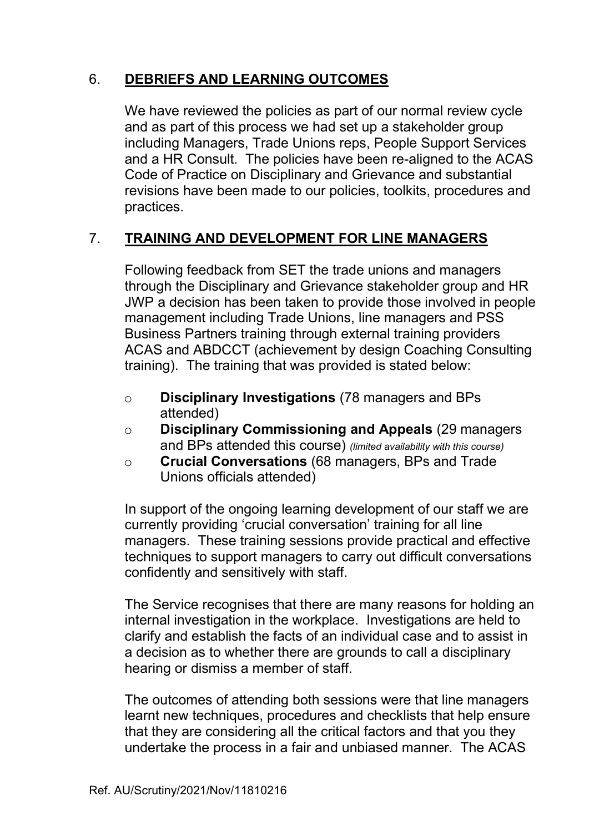# 6. **DEBRIEFS AND LEARNING OUTCOMES**

We have reviewed the policies as part of our normal review cycle and as part of this process we had set up a stakeholder group including Managers, Trade Unions reps, People Support Services and a HR Consult. The policies have been re-aligned to the ACAS Code of Practice on Disciplinary and Grievance and substantial revisions have been made to our policies, toolkits, procedures and practices.

# 7. **TRAINING AND DEVELOPMENT FOR LINE MANAGERS**

Following feedback from SET the trade unions and managers through the Disciplinary and Grievance stakeholder group and HR JWP a decision has been taken to provide those involved in people management including Trade Unions, line managers and PSS Business Partners training through external training providers ACAS and ABDCCT (achievement by design Coaching Consulting training). The training that was provided is stated below:

- o **Disciplinary Investigations** (78 managers and BPs attended)
- o **Disciplinary Commissioning and Appeals** (29 managers and BPs attended this course) *(limited availability with this course)*
- o **Crucial Conversations** (68 managers, BPs and Trade Unions officials attended)

In support of the ongoing learning development of our staff we are currently providing 'crucial conversation' training for all line managers. These training sessions provide practical and effective techniques to support managers to carry out difficult conversations confidently and sensitively with staff.

The Service recognises that there are many reasons for holding an internal investigation in the workplace. Investigations are held to clarify and establish the facts of an individual case and to assist in a decision as to whether there are grounds to call a disciplinary hearing or dismiss a member of staff.

The outcomes of attending both sessions were that line managers learnt new techniques, procedures and checklists that help ensure that they are considering all the critical factors and that you they undertake the process in a fair and unbiased manner. The ACAS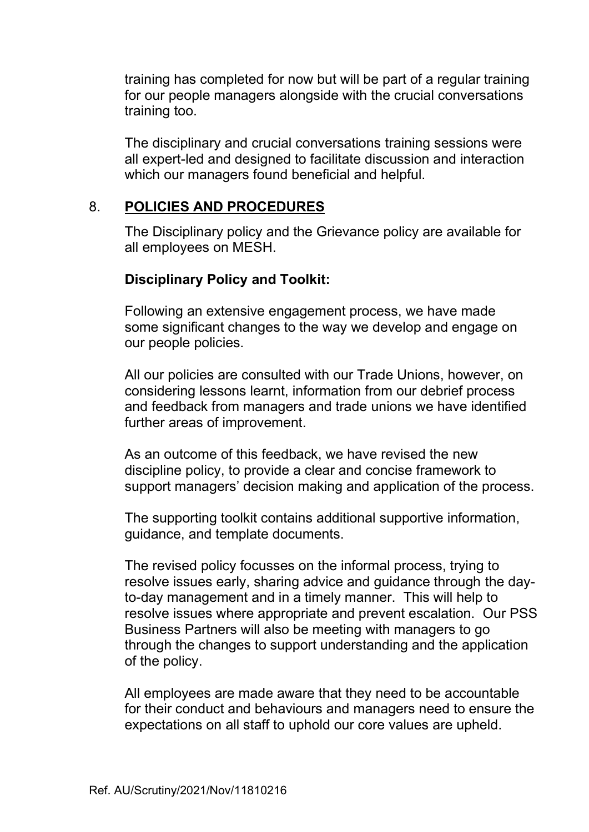training has completed for now but will be part of a regular training for our people managers alongside with the crucial conversations training too.

The disciplinary and crucial conversations training sessions were all expert-led and designed to facilitate discussion and interaction which our managers found beneficial and helpful.

#### 8. **POLICIES AND PROCEDURES**

 The Disciplinary policy and the Grievance policy are available for all employees on MESH.

### **Disciplinary Policy and Toolkit:**

Following an extensive engagement process, we have made some significant changes to the way we develop and engage on our people policies.

All our policies are consulted with our Trade Unions, however, on considering lessons learnt, information from our debrief process and feedback from managers and trade unions we have identified further areas of improvement.

As an outcome of this feedback, we have revised the new discipline policy, to provide a clear and concise framework to support managers' decision making and application of the process.

The supporting toolkit contains additional supportive information, guidance, and template documents.

The revised policy focusses on the informal process, trying to resolve issues early, sharing advice and guidance through the dayto-day management and in a timely manner. This will help to resolve issues where appropriate and prevent escalation. Our PSS Business Partners will also be meeting with managers to go through the changes to support understanding and the application of the policy.

All employees are made aware that they need to be accountable for their conduct and behaviours and managers need to ensure the expectations on all staff to uphold our core values are upheld.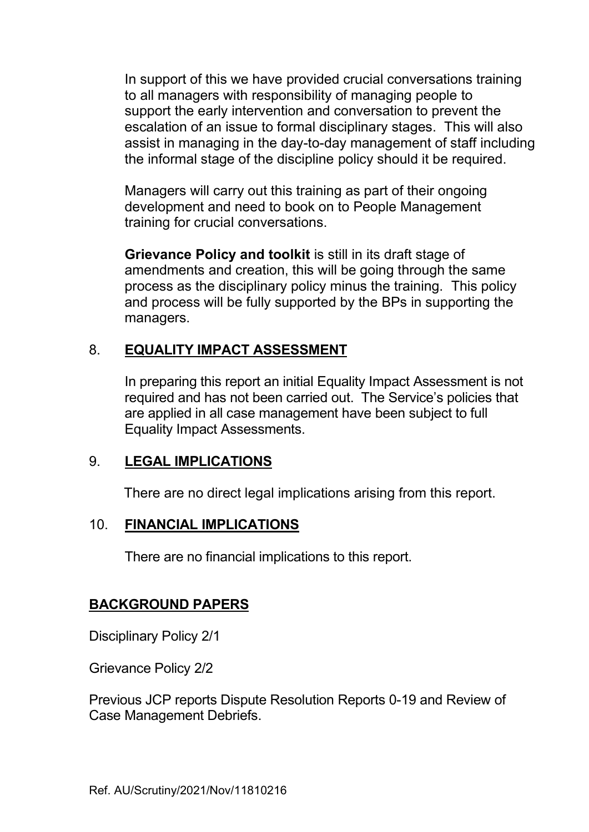In support of this we have provided crucial conversations training to all managers with responsibility of managing people to support the early intervention and conversation to prevent the escalation of an issue to formal disciplinary stages. This will also assist in managing in the day-to-day management of staff including the informal stage of the discipline policy should it be required.

Managers will carry out this training as part of their ongoing development and need to book on to People Management training for crucial conversations.

**Grievance Policy and toolkit** is still in its draft stage of amendments and creation, this will be going through the same process as the disciplinary policy minus the training. This policy and process will be fully supported by the BPs in supporting the managers.

### 8. **EQUALITY IMPACT ASSESSMENT**

 In preparing this report an initial Equality Impact Assessment is not required and has not been carried out. The Service's policies that are applied in all case management have been subject to full Equality Impact Assessments.

### 9. **LEGAL IMPLICATIONS**

There are no direct legal implications arising from this report.

### 10. **FINANCIAL IMPLICATIONS**

There are no financial implications to this report.

### **BACKGROUND PAPERS**

Disciplinary Policy 2/1

Grievance Policy 2/2

Previous JCP reports Dispute Resolution Reports 0-19 and Review of Case Management Debriefs.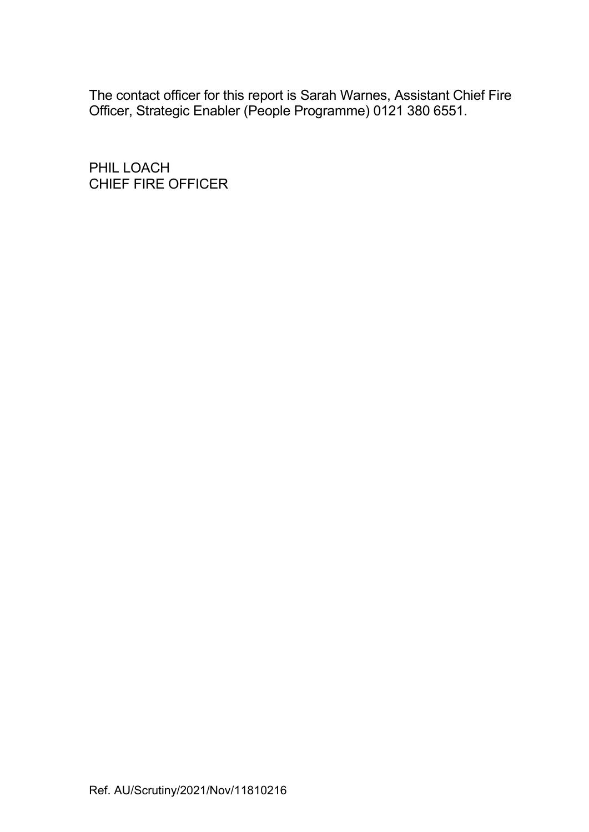The contact officer for this report is Sarah Warnes, Assistant Chief Fire Officer, Strategic Enabler (People Programme) 0121 380 6551.

PHIL LOACH CHIEF FIRE OFFICER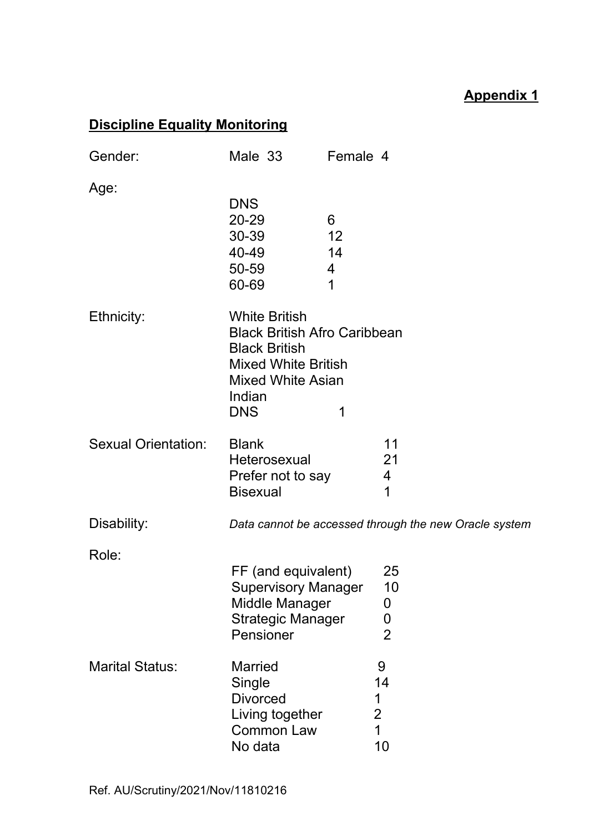# **Appendix 1**

# **Discipline Equality Monitoring**

| Gender:                    | Male 33                                                                                                                                                               | Female 4                |                                                        |
|----------------------------|-----------------------------------------------------------------------------------------------------------------------------------------------------------------------|-------------------------|--------------------------------------------------------|
| Age:                       | <b>DNS</b><br>20-29<br>30-39<br>40-49<br>50-59<br>60-69                                                                                                               | 6<br>12<br>14<br>4<br>1 |                                                        |
| Ethnicity:                 | <b>White British</b><br><b>Black British Afro Caribbean</b><br><b>Black British</b><br><b>Mixed White British</b><br><b>Mixed White Asian</b><br>Indian<br><b>DNS</b> | 1                       |                                                        |
| <b>Sexual Orientation:</b> | <b>Blank</b><br>Heterosexual<br>Prefer not to say<br><b>Bisexual</b>                                                                                                  |                         | 11<br>21<br>4<br>1                                     |
| Disability:                |                                                                                                                                                                       |                         | Data cannot be accessed through the new Oracle system  |
| Role:                      | FF (and equivalent)<br><b>Supervisory Manager</b><br>Middle Manager<br><b>Strategic Manager</b><br>Pensioner                                                          |                         | 25<br>10<br>0<br>$\mathbf 0$<br>$\overline{2}$         |
| <b>Marital Status:</b>     | <b>Married</b><br>Single<br><b>Divorced</b><br>Living together<br><b>Common Law</b><br>No data                                                                        |                         | 9<br>14<br>1<br>$\overline{2}$<br>$\overline{1}$<br>10 |